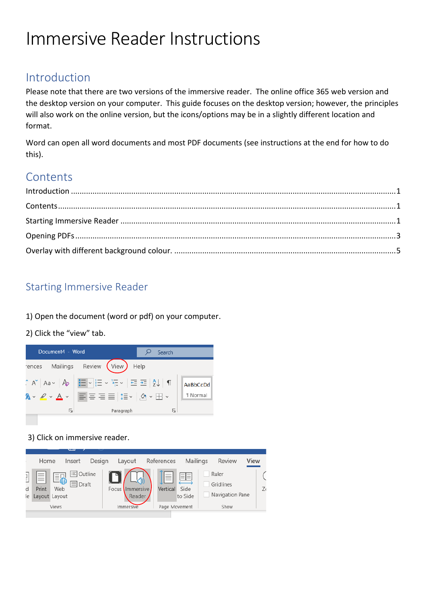# Immersive Reader Instructions

## <span id="page-0-0"></span>Introduction

Please note that there are two versions of the immersive reader. The online office 365 web version and the desktop version on your computer. This guide focuses on the desktop version; however, the principles will also work on the online version, but the icons/options may be in a slightly different location and format.

Word can open all word documents and most PDF documents (see instructions at the end for how to do this).

## **Contents**

### <span id="page-0-2"></span><span id="page-0-1"></span>Starting Immersive Reader

1) Open the document (word or pdf) on your computer.

2) Click the "view" tab.



3) Click on immersive reader.

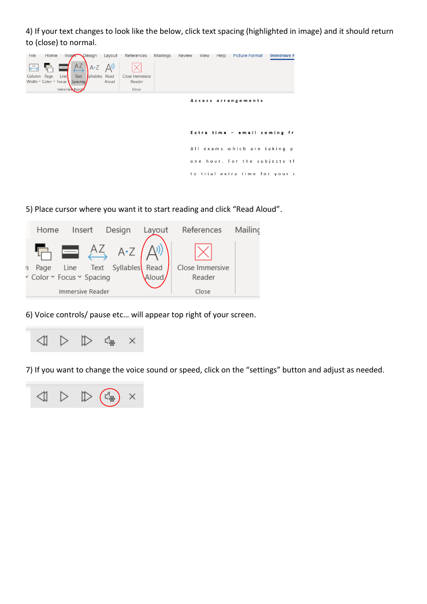4) If your text changes to look like the below, click text spacing (highlighted in image) and it should return to (close) to normal.



5) Place cursor where you want it to start reading and click "Read Aloud".



6) Voice controls/ pause etc… will appear top right of your screen.



7) If you want to change the voice sound or speed, click on the "settings" button and adjust as needed.

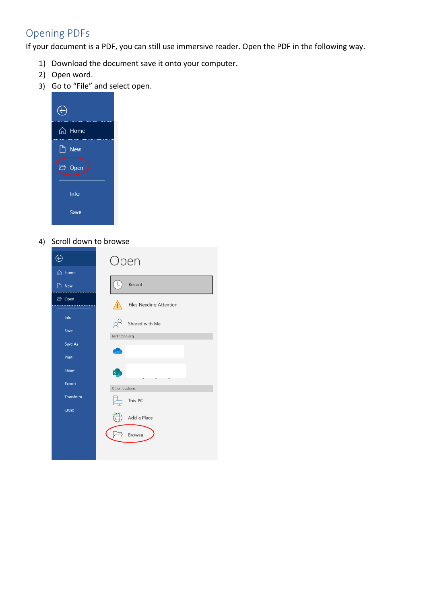## <span id="page-2-0"></span>Opening PDFs

If your document is a PDF, you can still use immersive reader. Open the PDF in the following way.

- 1) Download the document save it onto your computer.
- 2) Open word.
- 3) Go to "File" and select open.

| ⋒<br>Home        |  |
|------------------|--|
| <b>New</b>       |  |
| $\bigoplus$ Open |  |
| Info             |  |
| Save             |  |

4) Scroll down to browse

| ⊝         | Open                    |  |  |  |
|-----------|-------------------------|--|--|--|
| d Home    |                         |  |  |  |
| Ρ<br>New  | Recent                  |  |  |  |
| Open      | Files Needing Attention |  |  |  |
| Info      | Shared with Me          |  |  |  |
| Save      | harlington.org          |  |  |  |
| Save As   |                         |  |  |  |
| Print     |                         |  |  |  |
| Share     | $\overline{\mathsf{s}}$ |  |  |  |
| Export    | Other locations         |  |  |  |
| Transform | This PC                 |  |  |  |
| Close     | Add a Place             |  |  |  |
|           | <b>Browse</b>           |  |  |  |
|           |                         |  |  |  |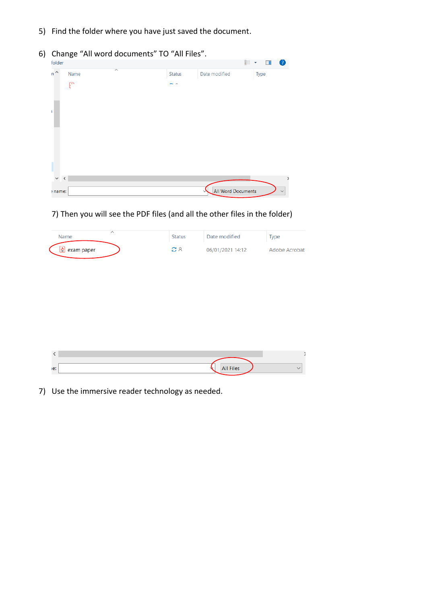- 5) Find the folder where you have just saved the document.
- 6) Change "All word documents" TO "All Files".

| folder       |                                 |               |                    | 臣 -<br>$\bullet$ |
|--------------|---------------------------------|---------------|--------------------|------------------|
| $n^{\wedge}$ | $\widehat{\phantom{a}}$<br>Name | <b>Status</b> | Date modified      | Type             |
|              | P                               | $\sim$ $\sim$ |                    |                  |
| 1            |                                 |               |                    |                  |
|              |                                 |               |                    |                  |
| $\vee$ <     |                                 |               |                    | $\rightarrow$    |
|              |                                 |               |                    |                  |
| ename:       |                                 |               | All Word Documents | $\checkmark$     |

#### 7) Then you will see the PDF files (and all the other files in the folder)

| Name                                   | <b>Status</b> | Date modified    | Iype          |
|----------------------------------------|---------------|------------------|---------------|
| $\left  \mathbf{c} \right $ exam paper | SЯ            | 06/01/2021 14:12 | Adobe Acrobat |

| ie: | Files<br>All |  |
|-----|--------------|--|

7) Use the immersive reader technology as needed.